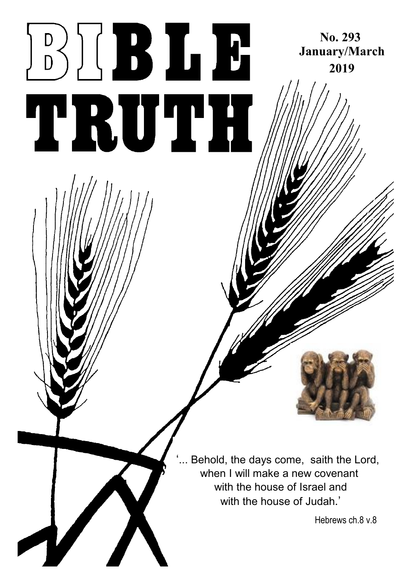